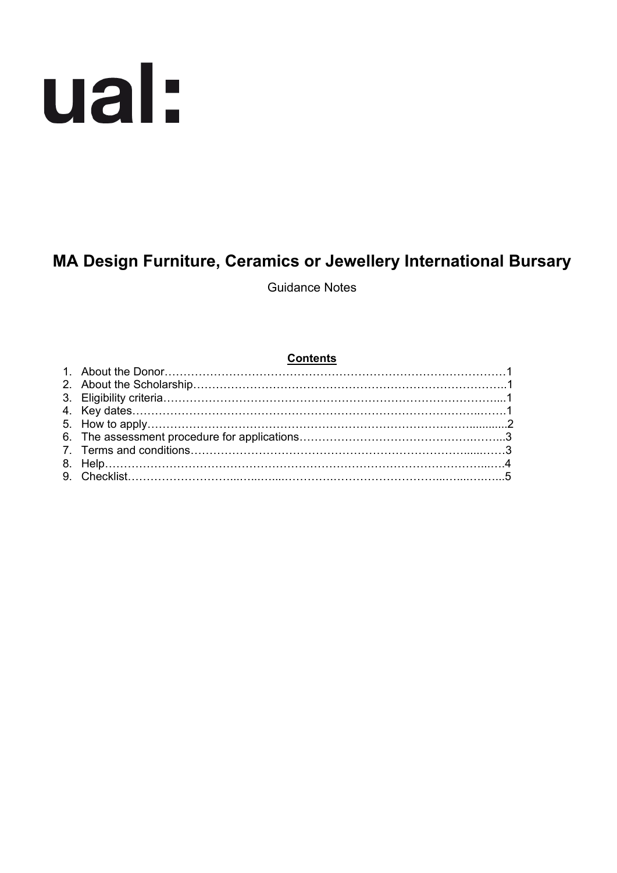# ual:

# **MA Design Furniture, Ceramics or Jewellery International Bursary**

Guidance Notes

#### **Contents**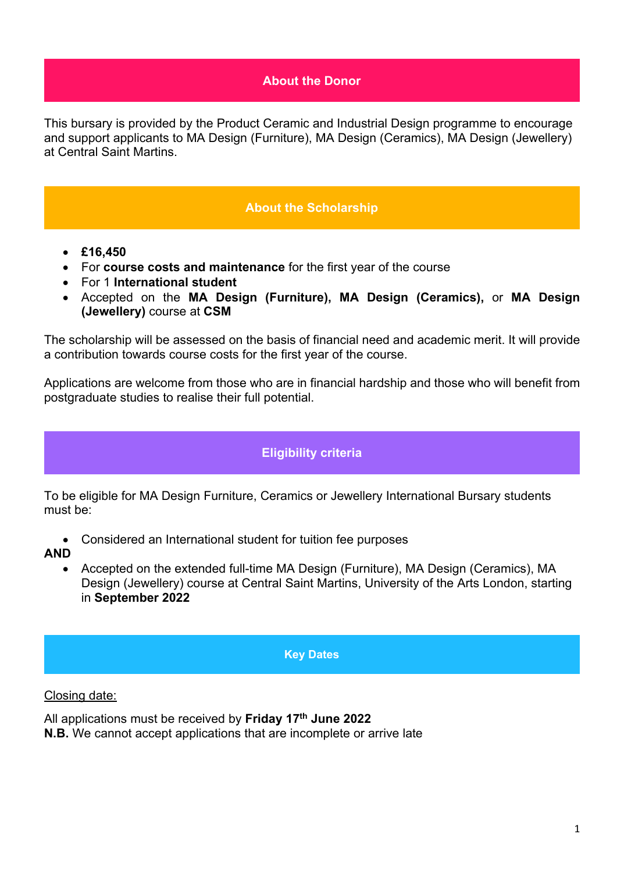# **About the Donor**

This bursary is provided by the Product Ceramic and Industrial Design programme to encourage and support applicants to MA Design (Furniture), MA Design (Ceramics), MA Design (Jewellery) at Central Saint Martins.

# **About the Scholarship**

- **£16,450**
- For **course costs and maintenance** for the first year of the course
- For 1 **International student**
- Accepted on the **MA Design (Furniture), MA Design (Ceramics),** or **MA Design (Jewellery)** course at **CSM**

The scholarship will be assessed on the basis of financial need and academic merit. It will provide a contribution towards course costs for the first year of the course.

Applications are welcome from those who are in financial hardship and those who will benefit from postgraduate studies to realise their full potential.

# **Eligibility criteria**

To be eligible for MA Design Furniture, Ceramics or Jewellery International Bursary students must be:

- Considered an International student for tuition fee purposes
- **AND**
	- Accepted on the extended full-time MA Design (Furniture), MA Design (Ceramics), MA Design (Jewellery) course at Central Saint Martins, University of the Arts London, starting in **September 2022**

#### **Key Dates**

#### Closing date:

All applications must be received by **Friday 17th June 2022 N.B.** We cannot accept applications that are incomplete or arrive late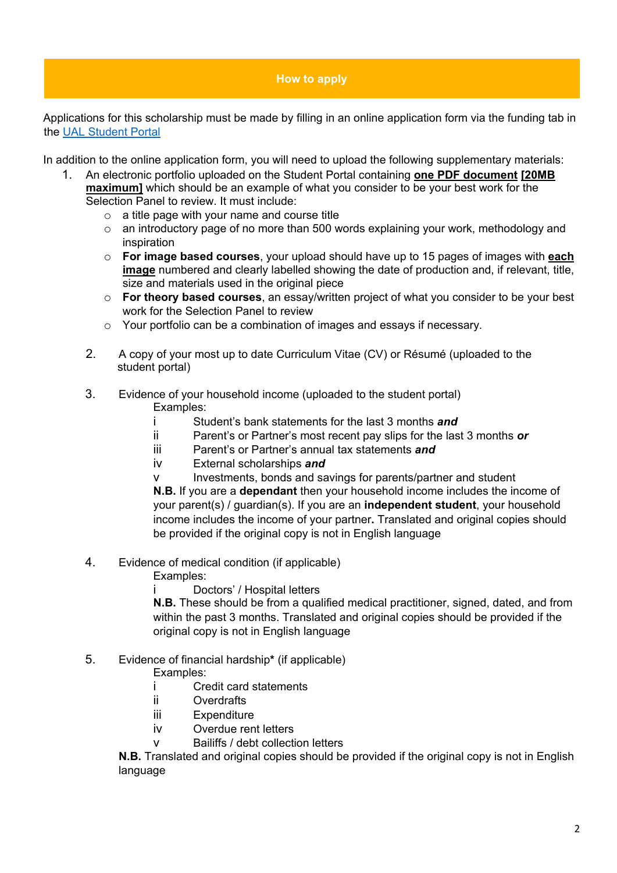#### **How to apply**

Applications for this scholarship must be made by filling in an online application form via the funding tab in the [UAL Student Portal](https://sits.arts.ac.uk/urd/sits.urd/run/SIW_LGN)

In addition to the online application form, you will need to upload the following supplementary materials:

- 1. An electronic portfolio uploaded on the Student Portal containing **one PDF document [20MB maximum]** which should be an example of what you consider to be your best work for the Selection Panel to review. It must include:
	- $\circ$  a title page with your name and course title
	- o an introductory page of no more than 500 words explaining your work, methodology and inspiration
	- o **For image based courses**, your upload should have up to 15 pages of images with **each image** numbered and clearly labelled showing the date of production and, if relevant, title, size and materials used in the original piece
	- o **For theory based courses**, an essay/written project of what you consider to be your best work for the Selection Panel to review
	- o Your portfolio can be a combination of images and essays if necessary.
	- 2. A copy of your most up to date Curriculum Vitae (CV) or Résumé (uploaded to the student portal)
	- 3. Evidence of your household income (uploaded to the student portal)

Examples:

- i Student's bank statements for the last 3 months *and*
- ii Parent's or Partner's most recent pay slips for the last 3 months *or*
- iii Parent's or Partner's annual tax statements *and*
- iv External scholarships *and*
- v Investments, bonds and savings for parents/partner and student

**N.B.** If you are a **dependant** then your household income includes the income of your parent(s) / guardian(s). If you are an **independent student**, your household income includes the income of your partner**.** Translated and original copies should be provided if the original copy is not in English language

- 4. Evidence of medical condition (if applicable)
	- Examples:
	- i Doctors' / Hospital letters

**N.B.** These should be from a qualified medical practitioner, signed, dated, and from within the past 3 months. Translated and original copies should be provided if the original copy is not in English language

# 5. Evidence of financial hardship**\*** (if applicable)

Examples:

- i Credit card statements<br>ii Overdrafts
- Overdrafts
- iii Expenditure
- iv Overdue rent letters
- Bailiffs / debt collection letters

**N.B.** Translated and original copies should be provided if the original copy is not in English language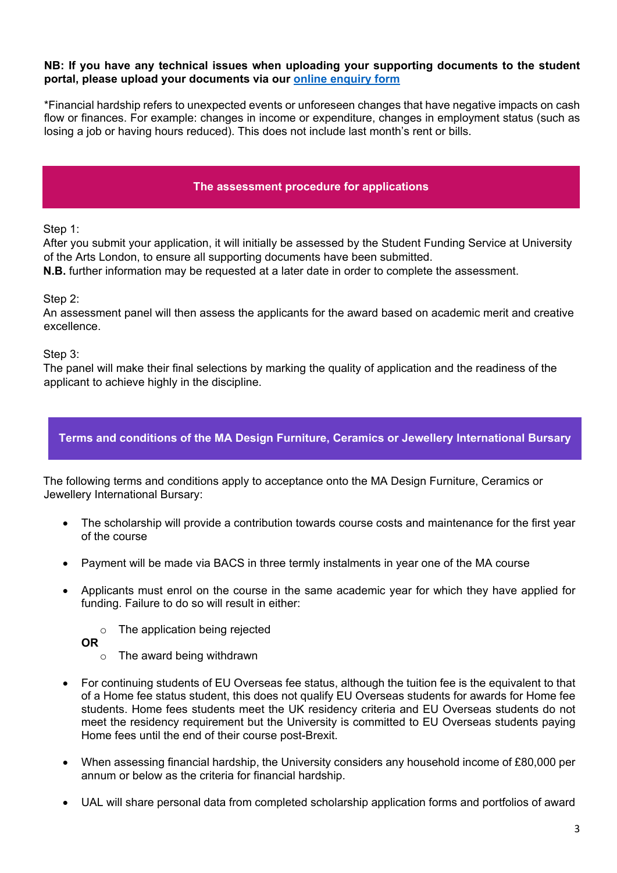#### **NB: If you have any technical issues when uploading your supporting documents to the student portal, please upload your documents via our [online enquiry form](https://forms.arts.ac.uk/funding-student-enquiry-form/)**

\*Financial hardship refers to unexpected events or unforeseen changes that have negative impacts on cash flow or finances. For example: changes in income or expenditure, changes in employment status (such as losing a job or having hours reduced). This does not include last month's rent or bills.

### **The assessment procedure for applications**

Step 1:

After you submit your application, it will initially be assessed by the Student Funding Service at University of the Arts London, to ensure all supporting documents have been submitted.

**N.B.** further information may be requested at a later date in order to complete the assessment.

#### Step 2:

An assessment panel will then assess the applicants for the award based on academic merit and creative excellence.

Step 3:

The panel will make their final selections by marking the quality of application and the readiness of the applicant to achieve highly in the discipline.

# **Terms and conditions of the MA Design Furniture, Ceramics or Jewellery International Bursary**

The following terms and conditions apply to acceptance onto the MA Design Furniture, Ceramics or Jewellery International Bursary:

- The scholarship will provide a contribution towards course costs and maintenance for the first year of the course
- Payment will be made via BACS in three termly instalments in year one of the MA course
- Applicants must enrol on the course in the same academic year for which they have applied for funding. Failure to do so will result in either:
	- o The application being rejected
	- **OR** 
		- o The award being withdrawn
- For continuing students of EU Overseas fee status, although the tuition fee is the equivalent to that of a Home fee status student, this does not qualify EU Overseas students for awards for Home fee students. Home fees students meet the UK residency criteria and EU Overseas students do not meet the residency requirement but the University is committed to EU Overseas students paying Home fees until the end of their course post-Brexit.
- When assessing financial hardship, the University considers any household income of £80,000 per annum or below as the criteria for financial hardship.
- UAL will share personal data from completed scholarship application forms and portfolios of award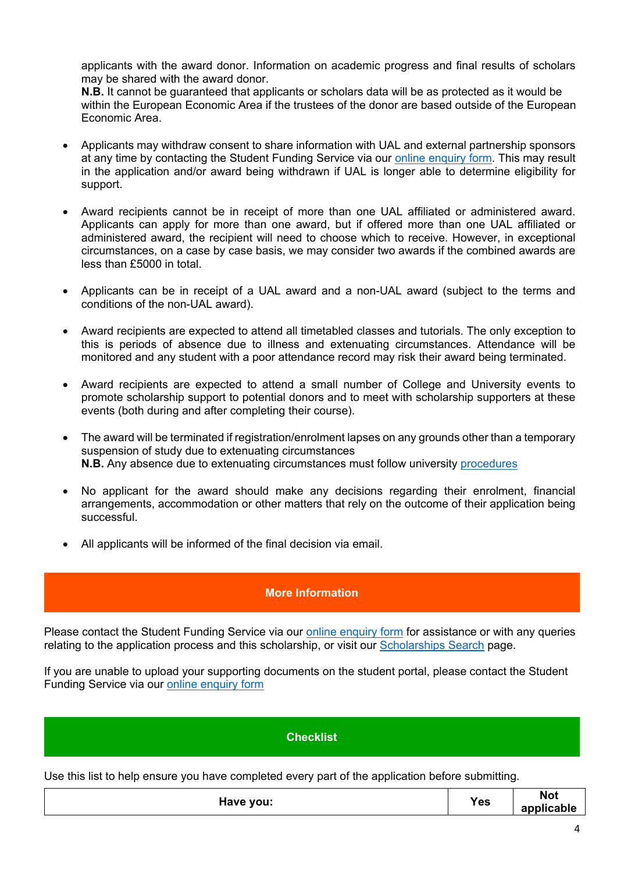applicants with the award donor. Information on academic progress and final results of scholars may be shared with the award donor.

**N.B.** It cannot be guaranteed that applicants or scholars data will be as protected as it would be within the European Economic Area if the trustees of the donor are based outside of the European Economic Area.

- Applicants may withdraw consent to share information with UAL and external partnership sponsors at any time by contacting the Student Funding Service via our [online enquiry form.](https://forms.arts.ac.uk/funding-student-enquiry-form/) This may result in the application and/or award being withdrawn if UAL is longer able to determine eligibility for support.
- Award recipients cannot be in receipt of more than one UAL affiliated or administered award. Applicants can apply for more than one award, but if offered more than one UAL affiliated or administered award, the recipient will need to choose which to receive. However, in exceptional circumstances, on a case by case basis, we may consider two awards if the combined awards are less than £5000 in total.
- Applicants can be in receipt of a UAL award and a non-UAL award (subject to the terms and conditions of the non-UAL award).
- Award recipients are expected to attend all timetabled classes and tutorials. The only exception to this is periods of absence due to illness and extenuating circumstances. Attendance will be monitored and any student with a poor attendance record may risk their award being terminated.
- Award recipients are expected to attend a small number of College and University events to promote scholarship support to potential donors and to meet with scholarship supporters at these events (both during and after completing their course).
- The award will be terminated if registration/enrolment lapses on any grounds other than a temporary suspension of study due to extenuating circumstances **N.B.** Any absence due to extenuating circumstances must follow university [procedures](https://www.arts.ac.uk/study-at-ual/academic-regulations/course-regulations/extenuating-circumstances-and-time-out)
- No applicant for the award should make any decisions regarding their enrolment, financial arrangements, accommodation or other matters that rely on the outcome of their application being successful.
- All applicants will be informed of the final decision via email.

# **More Information**

Please contact the Student Funding Service via our [online enquiry form](https://forms.arts.ac.uk/funding-student-enquiry-form/) for assistance or with any queries relating to the application process and this scholarship, or visit our [Scholarships Search](http://www.arts.ac.uk/study-at-ual/student-fees--funding/scholarships-search/) page.

If you are unable to upload your supporting documents on the student portal, please contact the Student Funding Service via our [online enquiry form](https://forms.arts.ac.uk/funding-student-enquiry-form/)

# **Checklist**

Use this list to help ensure you have completed every part of the application before submitting.

| Have you: | <b>Yes</b> | <b>Not</b><br>applicable |
|-----------|------------|--------------------------|
|-----------|------------|--------------------------|